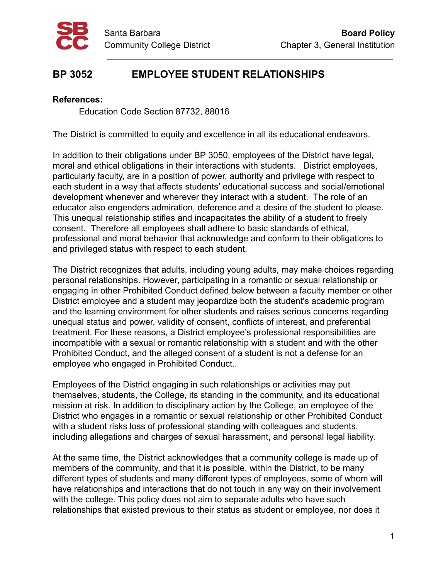

## **BP 3052 EMPLOYEE STUDENT RELATIONSHIPS**

## **References:**

Education Code Section 87732, 88016

The District is committed to equity and excellence in all its educational endeavors.

In addition to their obligations under BP 3050, employees of the District have legal, moral and ethical obligations in their interactions with students. District employees, particularly faculty, are in a position of power, authority and privilege with respect to each student in a way that affects students' educational success and social/emotional development whenever and wherever they interact with a student. The role of an educator also engenders admiration, deference and a desire of the student to please. This unequal relationship stifles and incapacitates the ability of a student to freely consent. Therefore all employees shall adhere to basic standards of ethical, professional and moral behavior that acknowledge and conform to their obligations to and privileged status with respect to each student.

The District recognizes that adults, including young adults, may make choices regarding personal relationships. However, participating in a romantic or sexual relationship or engaging in other Prohibited Conduct defined below between a faculty member or other District employee and a student may jeopardize both the student's academic program and the learning environment for other students and raises serious concerns regarding unequal status and power, validity of consent, conflicts of interest, and preferential treatment. For these reasons, a District employee's professional responsibilities are incompatible with a sexual or romantic relationship with a student and with the other Prohibited Conduct, and the alleged consent of a student is not a defense for an employee who engaged in Prohibited Conduct..

Employees of the District engaging in such relationships or activities may put themselves, students, the College, its standing in the community, and its educational mission at risk. In addition to disciplinary action by the College, an employee of the District who engages in a romantic or sexual relationship or other Prohibited Conduct with a student risks loss of professional standing with colleagues and students, including allegations and charges of sexual harassment, and personal legal liability.

At the same time, the District acknowledges that a community college is made up of members of the community, and that it is possible, within the District, to be many different types of students and many different types of employees, some of whom will have relationships and interactions that do not touch in any way on their involvement with the college. This policy does not aim to separate adults who have such relationships that existed previous to their status as student or employee, nor does it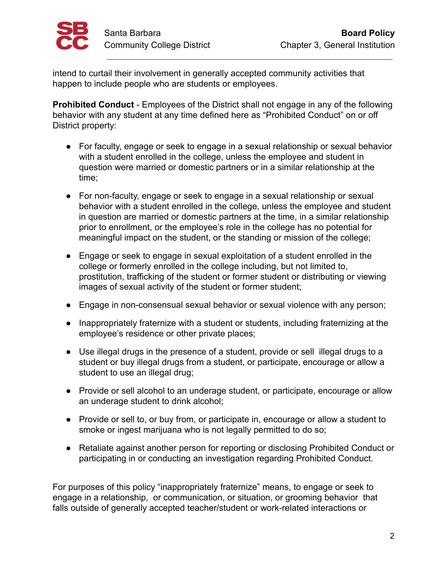

intend to curtail their involvement in generally accepted community activities that happen to include people who are students or employees.

**Prohibited Conduct** - Employees of the District shall not engage in any of the following behavior with any student at any time defined here as "Prohibited Conduct" on or off District property:

- For faculty, engage or seek to engage in a sexual relationship or sexual behavior with a student enrolled in the college, unless the employee and student in question were married or domestic partners or in a similar relationship at the time;
- For non-faculty, engage or seek to engage in a sexual relationship or sexual behavior with a student enrolled in the college, unless the employee and student in question are married or domestic partners at the time, in a similar relationship prior to enrollment, or the employee's role in the college has no potential for meaningful impact on the student, or the standing or mission of the college;
- Engage or seek to engage in sexual exploitation of a student enrolled in the college or formerly enrolled in the college including, but not limited to, prostitution, trafficking of the student or former student or distributing or viewing images of sexual activity of the student or former student;
- Engage in non-consensual sexual behavior or sexual violence with any person;
- Inappropriately fraternize with a student or students, including fraternizing at the employee's residence or other private places;
- Use illegal drugs in the presence of a student, provide or sell illegal drugs to a student or buy illegal drugs from a student, or participate, encourage or allow a student to use an illegal drug;
- Provide or sell alcohol to an underage student, or participate, encourage or allow an underage student to drink alcohol;
- Provide or sell to, or buy from, or participate in, encourage or allow a student to smoke or ingest marijuana who is not legally permitted to do so;
- Retaliate against another person for reporting or disclosing Prohibited Conduct or participating in or conducting an investigation regarding Prohibited Conduct.

For purposes of this policy "inappropriately fraternize" means, to engage or seek to engage in a relationship, or communication, or situation, or grooming behavior that falls outside of generally accepted teacher/student or work-related interactions or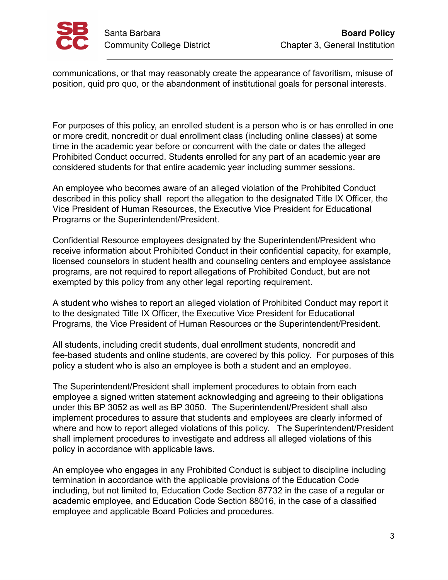

communications, or that may reasonably create the appearance of favoritism, misuse of position, quid pro quo, or the abandonment of institutional goals for personal interests.

For purposes of this policy, an enrolled student is a person who is or has enrolled in one or more credit, noncredit or dual enrollment class (including online classes) at some time in the academic year before or concurrent with the date or dates the alleged Prohibited Conduct occurred. Students enrolled for any part of an academic year are considered students for that entire academic year including summer sessions.

An employee who becomes aware of an alleged violation of the Prohibited Conduct described in this policy shall report the allegation to the designated Title IX Officer, the Vice President of Human Resources, the Executive Vice President for Educational Programs or the Superintendent/President.

Confidential Resource employees designated by the Superintendent/President who receive information about Prohibited Conduct in their confidential capacity, for example, licensed counselors in student health and counseling centers and employee assistance programs, are not required to report allegations of Prohibited Conduct, but are not exempted by this policy from any other legal reporting requirement.

A student who wishes to report an alleged violation of Prohibited Conduct may report it to the designated Title IX Officer, the Executive Vice President for Educational Programs, the Vice President of Human Resources or the Superintendent/President.

All students, including credit students, dual enrollment students, noncredit and fee-based students and online students, are covered by this policy. For purposes of this policy a student who is also an employee is both a student and an employee.

The Superintendent/President shall implement procedures to obtain from each employee a signed written statement acknowledging and agreeing to their obligations under this BP 3052 as well as BP 3050. The Superintendent/President shall also implement procedures to assure that students and employees are clearly informed of where and how to report alleged violations of this policy. The Superintendent/President shall implement procedures to investigate and address all alleged violations of this policy in accordance with applicable laws.

An employee who engages in any Prohibited Conduct is subject to discipline including termination in accordance with the applicable provisions of the Education Code including, but not limited to, Education Code Section 87732 in the case of a regular or academic employee, and Education Code Section 88016, in the case of a classified employee and applicable Board Policies and procedures.